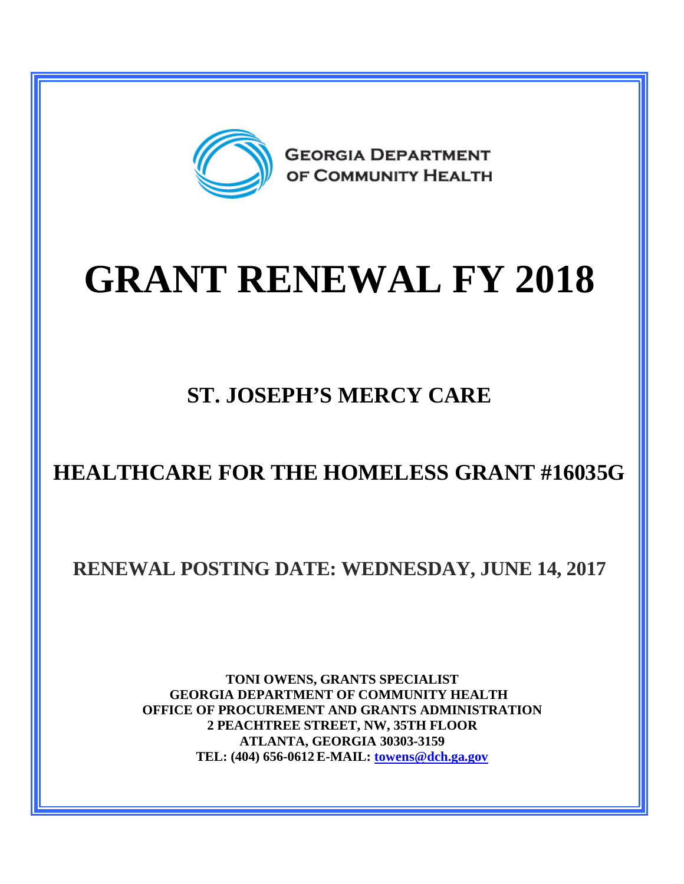

## **GRANT RENEWAL FY 2018**

## **ST. JOSEPH'S MERCY CARE**

## **HEALTHCARE FOR THE HOMELESS GRANT #16035G**

**RENEWAL POSTING DATE: WEDNESDAY, JUNE 14, 2017**

**TONI OWENS, GRANTS SPECIALIST GEORGIA DEPARTMENT OF COMMUNITY HEALTH OFFICE OF PROCUREMENT AND GRANTS ADMINISTRATION 2 PEACHTREE STREET, NW, 35TH FLOOR ATLANTA, GEORGIA 30303-3159 TEL: (404) 656-0612 E-MAIL: [towens@dch.ga.gov](mailto:towens@dch.ga.gov)**